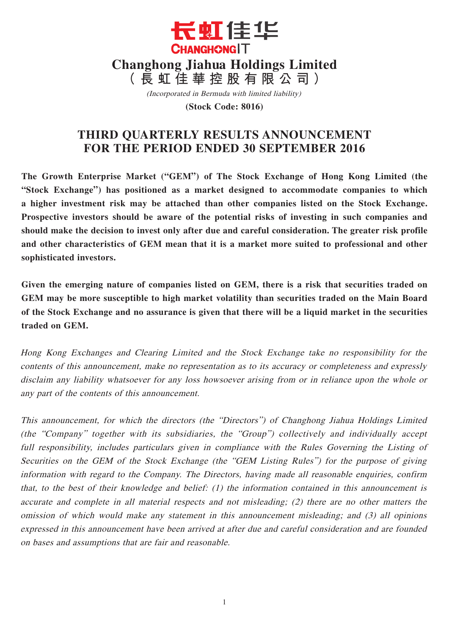

(Incorporated in Bermuda with limited liability)

**(Stock Code: 8016)**

# **THIRD QUARTERLY RESULTS ANNOUNCEMENT FOR THE PERIOD ENDED 30 SEPTEMBER 2016**

**The Growth Enterprise Market ("GEM") of The Stock Exchange of Hong Kong Limited (the "Stock Exchange") has positioned as a market designed to accommodate companies to which a higher investment risk may be attached than other companies listed on the Stock Exchange. Prospective investors should be aware of the potential risks of investing in such companies and should make the decision to invest only after due and careful consideration. The greater risk profile and other characteristics of GEM mean that it is a market more suited to professional and other sophisticated investors.**

**Given the emerging nature of companies listed on GEM, there is a risk that securities traded on GEM may be more susceptible to high market volatility than securities traded on the Main Board of the Stock Exchange and no assurance is given that there will be a liquid market in the securities traded on GEM.**

Hong Kong Exchanges and Clearing Limited and the Stock Exchange take no responsibility for the contents of this announcement, make no representation as to its accuracy or completeness and expressly disclaim any liability whatsoever for any loss howsoever arising from or in reliance upon the whole or any part of the contents of this announcement.

This announcement, for which the directors (the "Directors") of Changhong Jiahua Holdings Limited (the "Company" together with its subsidiaries, the "Group") collectively and individually accept full responsibility, includes particulars given in compliance with the Rules Governing the Listing of Securities on the GEM of the Stock Exchange (the "GEM Listing Rules") for the purpose of giving information with regard to the Company. The Directors, having made all reasonable enquiries, confirm that, to the best of their knowledge and belief: (1) the information contained in this announcement is accurate and complete in all material respects and not misleading; (2) there are no other matters the omission of which would make any statement in this announcement misleading; and (3) all opinions expressed in this announcement have been arrived at after due and careful consideration and are founded on bases and assumptions that are fair and reasonable.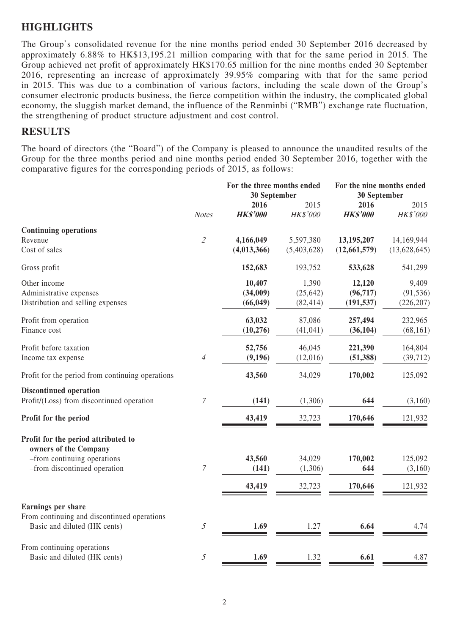### **HIGHLIGHTS**

The Group's consolidated revenue for the nine months period ended 30 September 2016 decreased by approximately 6.88% to HK\$13,195.21 million comparing with that for the same period in 2015. The Group achieved net profit of approximately HK\$170.65 million for the nine months ended 30 September 2016, representing an increase of approximately 39.95% comparing with that for the same period in 2015. This was due to a combination of various factors, including the scale down of the Group's consumer electronic products business, the fierce competition within the industry, the complicated global economy, the sluggish market demand, the influence of the Renminbi ("RMB") exchange rate fluctuation, the strengthening of product structure adjustment and cost control.

### **RESULTS**

The board of directors (the "Board") of the Company is pleased to announce the unaudited results of the Group for the three months period and nine months period ended 30 September 2016, together with the comparative figures for the corresponding periods of 2015, as follows:

|                                                      |                  | For the three months ended<br>30 September |             | For the nine months ended<br>30 September |                 |
|------------------------------------------------------|------------------|--------------------------------------------|-------------|-------------------------------------------|-----------------|
|                                                      |                  | 2016                                       | 2015        | 2016                                      | 2015            |
|                                                      | <b>Notes</b>     | <b>HK\$'000</b>                            | HK\$'000    | <b>HK\$'000</b>                           | <b>HK\$'000</b> |
| <b>Continuing operations</b>                         |                  |                                            |             |                                           |                 |
| Revenue                                              | $\overline{2}$   | 4,166,049                                  | 5,597,380   | 13,195,207                                | 14,169,944      |
| Cost of sales                                        |                  | (4,013,366)                                | (5,403,628) | (12, 661, 579)                            | (13,628,645)    |
| Gross profit                                         |                  | 152,683                                    | 193,752     | 533,628                                   | 541,299         |
| Other income                                         |                  | 10,407                                     | 1,390       | 12,120                                    | 9,409           |
| Administrative expenses                              |                  | (34,009)                                   | (25, 642)   | (96, 717)                                 | (91, 536)       |
| Distribution and selling expenses                    |                  | (66, 049)                                  | (82, 414)   | (191, 537)                                | (226, 207)      |
| Profit from operation                                |                  | 63,032                                     | 87,086      | 257,494                                   | 232,965         |
| Finance cost                                         |                  | (10, 276)                                  | (41, 041)   | (36, 104)                                 | (68, 161)       |
| Profit before taxation                               |                  | 52,756                                     | 46,045      | 221,390                                   | 164,804         |
| Income tax expense                                   | $\overline{4}$   | (9,196)                                    | (12,016)    | (51, 388)                                 | (39, 712)       |
| Profit for the period from continuing operations     |                  | 43,560                                     | 34,029      | 170,002                                   | 125,092         |
| <b>Discontinued operation</b>                        |                  |                                            |             |                                           |                 |
| Profit/(Loss) from discontinued operation            | $\boldsymbol{7}$ | (141)                                      | (1,306)     | 644                                       | (3,160)         |
| Profit for the period                                |                  | 43,419                                     | 32,723      | 170,646                                   | 121,932         |
| Profit for the period attributed to                  |                  |                                            |             |                                           |                 |
| owners of the Company<br>-from continuing operations |                  | 43,560                                     | 34,029      | 170,002                                   | 125,092         |
| -from discontinued operation                         | $\boldsymbol{7}$ | (141)                                      | (1,306)     | 644                                       | (3,160)         |
|                                                      |                  | 43,419                                     | 32,723      | 170,646                                   | 121,932         |
|                                                      |                  |                                            |             |                                           |                 |
| Earnings per share                                   |                  |                                            |             |                                           |                 |
| From continuing and discontinued operations          |                  |                                            |             |                                           |                 |
| Basic and diluted (HK cents)                         | $\mathfrak{I}$   | 1.69                                       | 1.27        | 6.64                                      | 4.74            |
| From continuing operations                           |                  |                                            |             |                                           |                 |
| Basic and diluted (HK cents)                         | $\mathfrak{I}$   | 1.69                                       | 1.32        | 6.61                                      | 4.87            |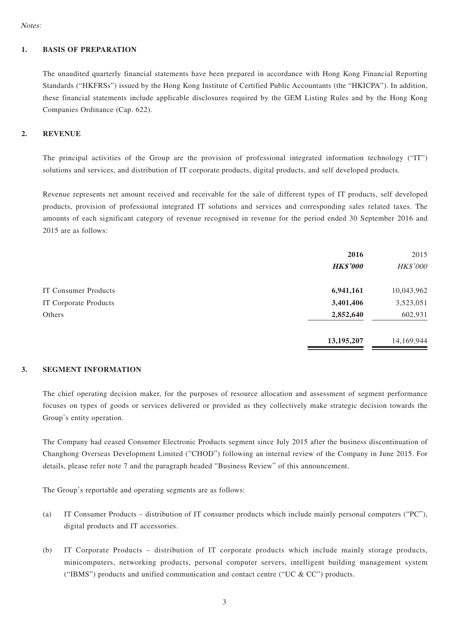Notes:

#### **1. BASIS OF PREPARATION**

The unaudited quarterly financial statements have been prepared in accordance with Hong Kong Financial Reporting Standards ("HKFRSs") issued by the Hong Kong Institute of Certified Public Accountants (the "HKICPA"). In addition, these financial statements include applicable disclosures required by the GEM Listing Rules and by the Hong Kong Companies Ordinance (Cap. 622).

#### **2. REVENUE**

The principal activities of the Group are the provision of professional integrated information technology ("IT") solutions and services, and distribution of IT corporate products, digital products, and self developed products.

Revenue represents net amount received and receivable for the sale of different types of IT products, self developed products, provision of professional integrated IT solutions and services and corresponding sales related taxes. The amounts of each significant category of revenue recognised in revenue for the period ended 30 September 2016 and 2015 are as follows:

|                       | 2016            | 2015       |
|-----------------------|-----------------|------------|
|                       | <b>HK\$'000</b> | HK\$'000   |
| IT Consumer Products  | 6,941,161       | 10,043,962 |
| IT Corporate Products | 3,401,406       | 3,523,051  |
| Others                | 2,852,640       | 602,931    |
|                       | 13,195,207      | 14,169,944 |

#### **3. SEGMENT INFORMATION**

The chief operating decision maker, for the purposes of resource allocation and assessment of segment performance focuses on types of goods or services delivered or provided as they collectively make strategic decision towards the Group's entity operation.

The Company had ceased Consumer Electronic Products segment since July 2015 after the business discontinuation of Changhong Overseas Development Limited ("CHOD") following an internal review of the Company in June 2015. For details, please refer note 7 and the paragraph headed "Business Review" of this announcement.

The Group's reportable and operating segments are as follows:

- (a) IT Consumer Products distribution of IT consumer products which include mainly personal computers ("PC"), digital products and IT accessories.
- (b) IT Corporate Products distribution of IT corporate products which include mainly storage products, minicomputers, networking products, personal computer servers, intelligent building management system ("IBMS") products and unified communication and contact centre ("UC  $& CC$ ") products.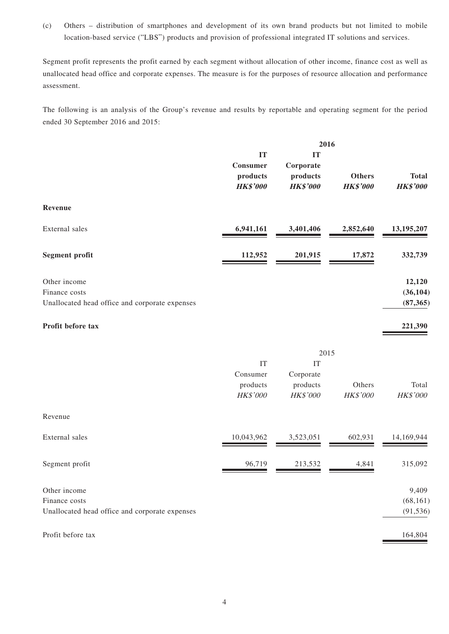(c) Others – distribution of smartphones and development of its own brand products but not limited to mobile location-based service ("LBS") products and provision of professional integrated IT solutions and services.

Segment profit represents the profit earned by each segment without allocation of other income, finance cost as well as unallocated head office and corporate expenses. The measure is for the purposes of resource allocation and performance assessment.

The following is an analysis of the Group's revenue and results by reportable and operating segment for the period ended 30 September 2016 and 2015:

|                                                                                 | 2016                                          |                                                |                                  |                                  |
|---------------------------------------------------------------------------------|-----------------------------------------------|------------------------------------------------|----------------------------------|----------------------------------|
|                                                                                 | IT<br>Consumer<br>products<br><b>HK\$'000</b> | IT<br>Corporate<br>products<br><b>HK\$'000</b> | <b>Others</b><br><b>HK\$'000</b> | <b>Total</b><br><b>HK\$'000</b>  |
| Revenue                                                                         |                                               |                                                |                                  |                                  |
| External sales                                                                  | 6,941,161                                     | 3,401,406                                      | 2,852,640                        | 13,195,207                       |
| <b>Segment profit</b>                                                           | 112,952                                       | 201,915                                        | 17,872                           | 332,739                          |
| Other income<br>Finance costs<br>Unallocated head office and corporate expenses |                                               |                                                |                                  | 12,120<br>(36, 104)<br>(87, 365) |
| Profit before tax                                                               |                                               |                                                |                                  | 221,390                          |
|                                                                                 |                                               |                                                | 2015                             |                                  |
|                                                                                 | IT<br>Consumer<br>products<br>HK\$'000        | IT<br>Corporate<br>products<br>HK\$'000        | Others<br>HK\$'000               | Total<br>HK\$'000                |
| Revenue                                                                         |                                               |                                                |                                  |                                  |
| External sales                                                                  | 10,043,962                                    | 3,523,051                                      | 602,931                          | 14,169,944                       |
| Segment profit                                                                  | 96,719                                        | 213,532                                        | 4,841                            | 315,092                          |
| Other income<br>Finance costs<br>Unallocated head office and corporate expenses |                                               |                                                |                                  | 9,409<br>(68, 161)<br>(91, 536)  |
| Profit before tax                                                               |                                               |                                                |                                  | 164,804                          |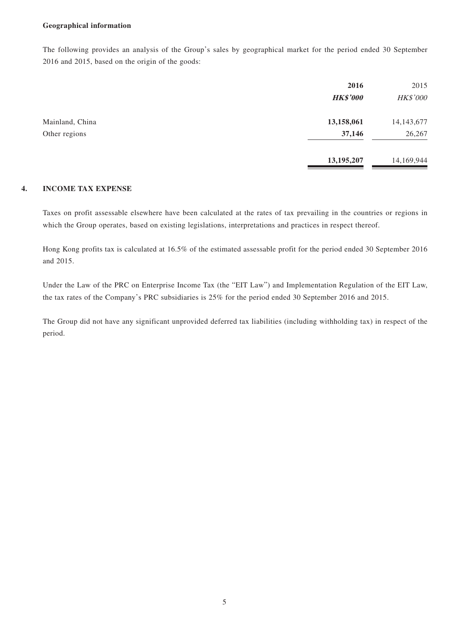#### **Geographical information**

The following provides an analysis of the Group's sales by geographical market for the period ended 30 September 2016 and 2015, based on the origin of the goods:

|                 | 2016<br><b>HK\$'000</b> | 2015<br>HK\$'000 |
|-----------------|-------------------------|------------------|
| Mainland, China | 13,158,061              | 14, 143, 677     |
| Other regions   | 37,146                  | 26,267           |
|                 | 13,195,207              | 14,169,944       |

#### **4. INCOME TAX EXPENSE**

Taxes on profit assessable elsewhere have been calculated at the rates of tax prevailing in the countries or regions in which the Group operates, based on existing legislations, interpretations and practices in respect thereof.

Hong Kong profits tax is calculated at 16.5% of the estimated assessable profit for the period ended 30 September 2016 and 2015.

Under the Law of the PRC on Enterprise Income Tax (the "EIT Law") and Implementation Regulation of the EIT Law, the tax rates of the Company's PRC subsidiaries is 25% for the period ended 30 September 2016 and 2015.

The Group did not have any significant unprovided deferred tax liabilities (including withholding tax) in respect of the period.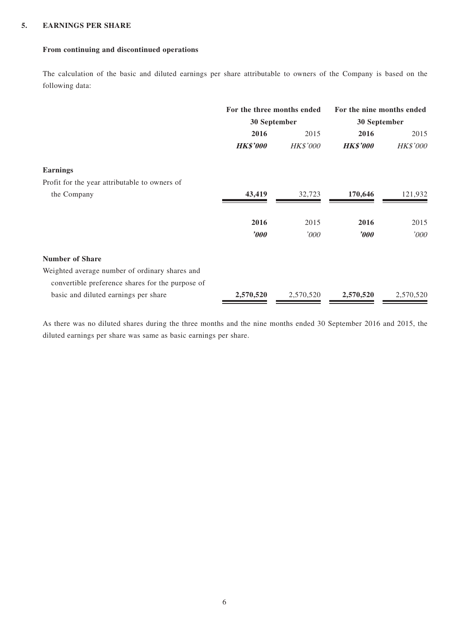#### **5. EARNINGS PER SHARE**

#### **From continuing and discontinued operations**

The calculation of the basic and diluted earnings per share attributable to owners of the Company is based on the following data:

|                                                  | For the three months ended<br>30 September |                 | For the nine months ended<br>30 September |           |
|--------------------------------------------------|--------------------------------------------|-----------------|-------------------------------------------|-----------|
|                                                  |                                            |                 |                                           |           |
|                                                  | 2016                                       | 2015            | 2016                                      | 2015      |
|                                                  | <b>HK\$'000</b>                            | <b>HK\$'000</b> | <b>HK\$'000</b>                           | HK\$'000  |
| <b>Earnings</b>                                  |                                            |                 |                                           |           |
| Profit for the year attributable to owners of    |                                            |                 |                                           |           |
| the Company                                      | 43,419                                     | 32,723          | 170,646                                   | 121,932   |
|                                                  | 2016                                       | 2015            | 2016                                      | 2015      |
|                                                  | $\bm{v}$                                   | '000            | $\boldsymbol{\it '000}$                   | '000      |
| <b>Number of Share</b>                           |                                            |                 |                                           |           |
| Weighted average number of ordinary shares and   |                                            |                 |                                           |           |
| convertible preference shares for the purpose of |                                            |                 |                                           |           |
| basic and diluted earnings per share             | 2,570,520                                  | 2,570,520       | 2,570,520                                 | 2,570,520 |

As there was no diluted shares during the three months and the nine months ended 30 September 2016 and 2015, the diluted earnings per share was same as basic earnings per share.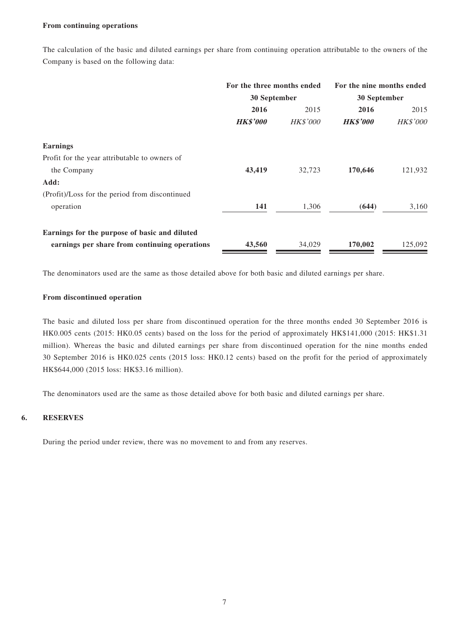#### **From continuing operations**

The calculation of the basic and diluted earnings per share from continuing operation attributable to the owners of the Company is based on the following data:

|                                                | For the three months ended<br>30 September |                 | For the nine months ended<br>30 September |                 |
|------------------------------------------------|--------------------------------------------|-----------------|-------------------------------------------|-----------------|
|                                                |                                            |                 |                                           |                 |
|                                                | 2016                                       | 2015            | 2016                                      | 2015            |
|                                                | <b>HK\$'000</b>                            | <b>HK\$'000</b> | <b>HK\$'000</b>                           | <b>HK\$'000</b> |
| <b>Earnings</b>                                |                                            |                 |                                           |                 |
| Profit for the year attributable to owners of  |                                            |                 |                                           |                 |
| the Company                                    | 43,419                                     | 32,723          | 170,646                                   | 121,932         |
| Add:                                           |                                            |                 |                                           |                 |
| (Profit)/Loss for the period from discontinued |                                            |                 |                                           |                 |
| operation                                      | 141                                        | 1,306           | (644)                                     | 3,160           |
| Earnings for the purpose of basic and diluted  |                                            |                 |                                           |                 |
| earnings per share from continuing operations  | 43,560                                     | 34,029          | 170,002                                   | 125,092         |

The denominators used are the same as those detailed above for both basic and diluted earnings per share.

#### **From discontinued operation**

The basic and diluted loss per share from discontinued operation for the three months ended 30 September 2016 is HK0.005 cents (2015: HK0.05 cents) based on the loss for the period of approximately HK\$141,000 (2015: HK\$1.31 million). Whereas the basic and diluted earnings per share from discontinued operation for the nine months ended 30 September 2016 is HK0.025 cents (2015 loss: HK0.12 cents) based on the profit for the period of approximately HK\$644,000 (2015 loss: HK\$3.16 million).

The denominators used are the same as those detailed above for both basic and diluted earnings per share.

### **6. RESERVES**

During the period under review, there was no movement to and from any reserves.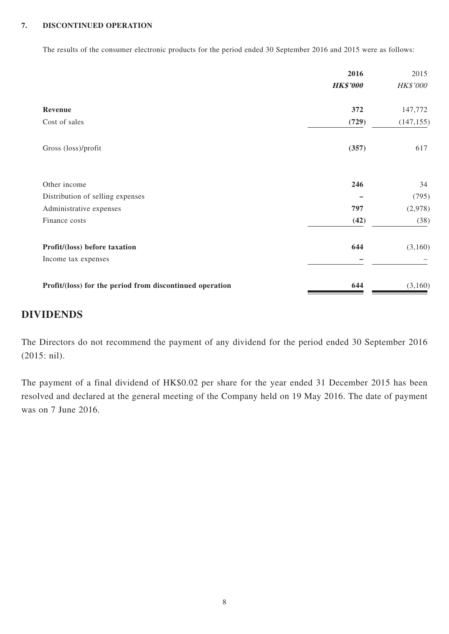#### **7. DISCONTINUED OPERATION**

The results of the consumer electronic products for the period ended 30 September 2016 and 2015 were as follows:

|                                                          | 2016            | 2015            |
|----------------------------------------------------------|-----------------|-----------------|
|                                                          | <b>HK\$'000</b> | <b>HK\$'000</b> |
| Revenue                                                  | 372             | 147,772         |
| Cost of sales                                            | (729)           | (147, 155)      |
| Gross (loss)/profit                                      | (357)           | 617             |
| Other income                                             | 246             | 34              |
| Distribution of selling expenses                         |                 | (795)           |
| Administrative expenses                                  | 797             | (2,978)         |
| Finance costs                                            | (42)            | (38)            |
| Profit/(loss) before taxation                            | 644             | (3,160)         |
| Income tax expenses                                      |                 |                 |
| Profit/(loss) for the period from discontinued operation | 644             | (3,160)         |

## **DIVIDENDS**

The Directors do not recommend the payment of any dividend for the period ended 30 September 2016 (2015: nil).

The payment of a final dividend of HK\$0.02 per share for the year ended 31 December 2015 has been resolved and declared at the general meeting of the Company held on 19 May 2016. The date of payment was on 7 June 2016.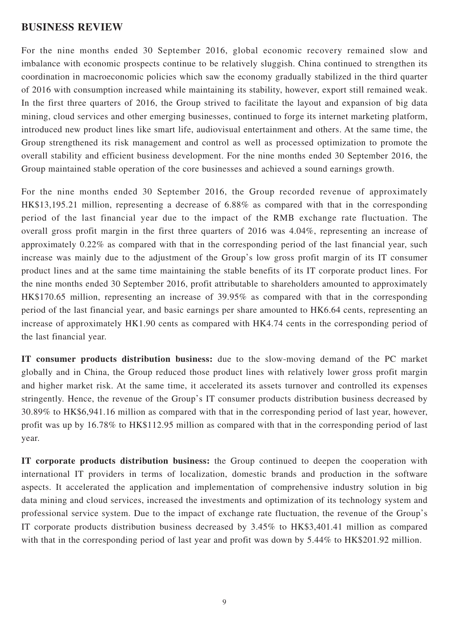### **BUSINESS REVIEW**

For the nine months ended 30 September 2016, global economic recovery remained slow and imbalance with economic prospects continue to be relatively sluggish. China continued to strengthen its coordination in macroeconomic policies which saw the economy gradually stabilized in the third quarter of 2016 with consumption increased while maintaining its stability, however, export still remained weak. In the first three quarters of 2016, the Group strived to facilitate the layout and expansion of big data mining, cloud services and other emerging businesses, continued to forge its internet marketing platform, introduced new product lines like smart life, audiovisual entertainment and others. At the same time, the Group strengthened its risk management and control as well as processed optimization to promote the overall stability and efficient business development. For the nine months ended 30 September 2016, the Group maintained stable operation of the core businesses and achieved a sound earnings growth.

For the nine months ended 30 September 2016, the Group recorded revenue of approximately HK\$13,195.21 million, representing a decrease of 6.88% as compared with that in the corresponding period of the last financial year due to the impact of the RMB exchange rate fluctuation. The overall gross profit margin in the first three quarters of 2016 was 4.04%, representing an increase of approximately 0.22% as compared with that in the corresponding period of the last financial year, such increase was mainly due to the adjustment of the Group's low gross profit margin of its IT consumer product lines and at the same time maintaining the stable benefits of its IT corporate product lines. For the nine months ended 30 September 2016, profit attributable to shareholders amounted to approximately HK\$170.65 million, representing an increase of 39.95% as compared with that in the corresponding period of the last financial year, and basic earnings per share amounted to HK6.64 cents, representing an increase of approximately HK1.90 cents as compared with HK4.74 cents in the corresponding period of the last financial year.

**IT consumer products distribution business:** due to the slow-moving demand of the PC market globally and in China, the Group reduced those product lines with relatively lower gross profit margin and higher market risk. At the same time, it accelerated its assets turnover and controlled its expenses stringently. Hence, the revenue of the Group's IT consumer products distribution business decreased by 30.89% to HK\$6,941.16 million as compared with that in the corresponding period of last year, however, profit was up by 16.78% to HK\$112.95 million as compared with that in the corresponding period of last year.

**IT corporate products distribution business:** the Group continued to deepen the cooperation with international IT providers in terms of localization, domestic brands and production in the software aspects. It accelerated the application and implementation of comprehensive industry solution in big data mining and cloud services, increased the investments and optimization of its technology system and professional service system. Due to the impact of exchange rate fluctuation, the revenue of the Group's IT corporate products distribution business decreased by 3.45% to HK\$3,401.41 million as compared with that in the corresponding period of last year and profit was down by 5.44% to HK\$201.92 million.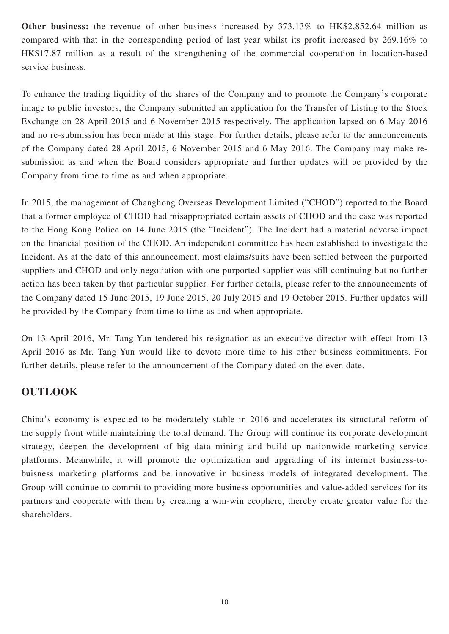**Other business:** the revenue of other business increased by 373.13% to HK\$2,852.64 million as compared with that in the corresponding period of last year whilst its profit increased by 269.16% to HK\$17.87 million as a result of the strengthening of the commercial cooperation in location-based service business.

To enhance the trading liquidity of the shares of the Company and to promote the Company's corporate image to public investors, the Company submitted an application for the Transfer of Listing to the Stock Exchange on 28 April 2015 and 6 November 2015 respectively. The application lapsed on 6 May 2016 and no re-submission has been made at this stage. For further details, please refer to the announcements of the Company dated 28 April 2015, 6 November 2015 and 6 May 2016. The Company may make resubmission as and when the Board considers appropriate and further updates will be provided by the Company from time to time as and when appropriate.

In 2015, the management of Changhong Overseas Development Limited ("CHOD") reported to the Board that a former employee of CHOD had misappropriated certain assets of CHOD and the case was reported to the Hong Kong Police on 14 June 2015 (the "Incident"). The Incident had a material adverse impact on the financial position of the CHOD. An independent committee has been established to investigate the Incident. As at the date of this announcement, most claims/suits have been settled between the purported suppliers and CHOD and only negotiation with one purported supplier was still continuing but no further action has been taken by that particular supplier. For further details, please refer to the announcements of the Company dated 15 June 2015, 19 June 2015, 20 July 2015 and 19 October 2015. Further updates will be provided by the Company from time to time as and when appropriate.

On 13 April 2016, Mr. Tang Yun tendered his resignation as an executive director with effect from 13 April 2016 as Mr. Tang Yun would like to devote more time to his other business commitments. For further details, please refer to the announcement of the Company dated on the even date.

### **OUTLOOK**

China's economy is expected to be moderately stable in 2016 and accelerates its structural reform of the supply front while maintaining the total demand. The Group will continue its corporate development strategy, deepen the development of big data mining and build up nationwide marketing service platforms. Meanwhile, it will promote the optimization and upgrading of its internet business-tobuisness marketing platforms and be innovative in business models of integrated development. The Group will continue to commit to providing more business opportunities and value-added services for its partners and cooperate with them by creating a win-win ecophere, thereby create greater value for the shareholders.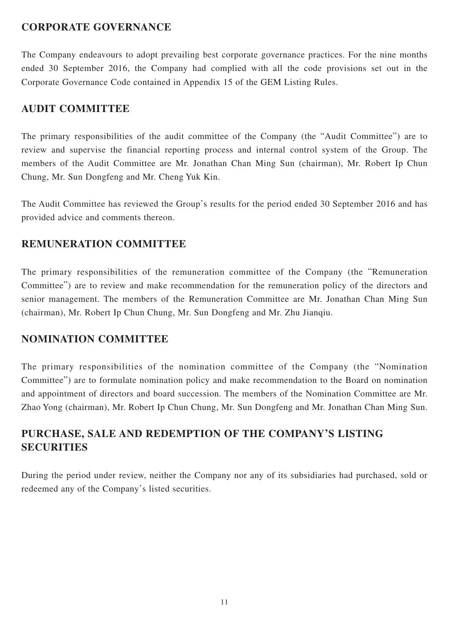### **CORPORATE GOVERNANCE**

The Company endeavours to adopt prevailing best corporate governance practices. For the nine months ended 30 September 2016, the Company had complied with all the code provisions set out in the Corporate Governance Code contained in Appendix 15 of the GEM Listing Rules.

### **AUDIT COMMITTEE**

The primary responsibilities of the audit committee of the Company (the "Audit Committee") are to review and supervise the financial reporting process and internal control system of the Group. The members of the Audit Committee are Mr. Jonathan Chan Ming Sun (chairman), Mr. Robert Ip Chun Chung, Mr. Sun Dongfeng and Mr. Cheng Yuk Kin.

The Audit Committee has reviewed the Group's results for the period ended 30 September 2016 and has provided advice and comments thereon.

### **REMUNERATION COMMITTEE**

The primary responsibilities of the remuneration committee of the Company (the "Remuneration Committee") are to review and make recommendation for the remuneration policy of the directors and senior management. The members of the Remuneration Committee are Mr. Jonathan Chan Ming Sun (chairman), Mr. Robert Ip Chun Chung, Mr. Sun Dongfeng and Mr. Zhu Jianqiu.

### **NOMINATION COMMITTEE**

The primary responsibilities of the nomination committee of the Company (the "Nomination Committee") are to formulate nomination policy and make recommendation to the Board on nomination and appointment of directors and board succession. The members of the Nomination Committee are Mr. Zhao Yong (chairman), Mr. Robert Ip Chun Chung, Mr. Sun Dongfeng and Mr. Jonathan Chan Ming Sun.

# **PURCHASE, SALE AND REDEMPTION OF THE COMPANY'S LISTING SECURITIES**

During the period under review, neither the Company nor any of its subsidiaries had purchased, sold or redeemed any of the Company's listed securities.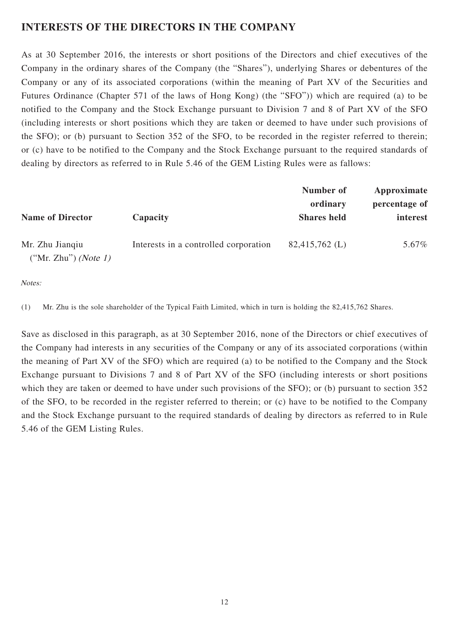## **INTERESTS OF THE DIRECTORS IN THE COMPANY**

As at 30 September 2016, the interests or short positions of the Directors and chief executives of the Company in the ordinary shares of the Company (the "Shares"), underlying Shares or debentures of the Company or any of its associated corporations (within the meaning of Part XV of the Securities and Futures Ordinance (Chapter 571 of the laws of Hong Kong) (the "SFO")) which are required (a) to be notified to the Company and the Stock Exchange pursuant to Division 7 and 8 of Part XV of the SFO (including interests or short positions which they are taken or deemed to have under such provisions of the SFO); or (b) pursuant to Section 352 of the SFO, to be recorded in the register referred to therein; or (c) have to be notified to the Company and the Stock Exchange pursuant to the required standards of dealing by directors as referred to in Rule 5.46 of the GEM Listing Rules were as fallows:

|                                                  |                                       | Number of           | Approximate   |
|--------------------------------------------------|---------------------------------------|---------------------|---------------|
|                                                  |                                       | ordinary            | percentage of |
| <b>Name of Director</b>                          | Capacity                              | <b>Shares</b> held  | interest      |
| Mr. Zhu Jianqiu<br>("Mr. Zhu") ( <i>Note 1</i> ) | Interests in a controlled corporation | $82,415,762 \; (L)$ | 5.67%         |

### Notes:

(1) Mr. Zhu is the sole shareholder of the Typical Faith Limited, which in turn is holding the 82,415,762 Shares.

Save as disclosed in this paragraph, as at 30 September 2016, none of the Directors or chief executives of the Company had interests in any securities of the Company or any of its associated corporations (within the meaning of Part XV of the SFO) which are required (a) to be notified to the Company and the Stock Exchange pursuant to Divisions 7 and 8 of Part XV of the SFO (including interests or short positions which they are taken or deemed to have under such provisions of the SFO); or (b) pursuant to section 352 of the SFO, to be recorded in the register referred to therein; or (c) have to be notified to the Company and the Stock Exchange pursuant to the required standards of dealing by directors as referred to in Rule 5.46 of the GEM Listing Rules.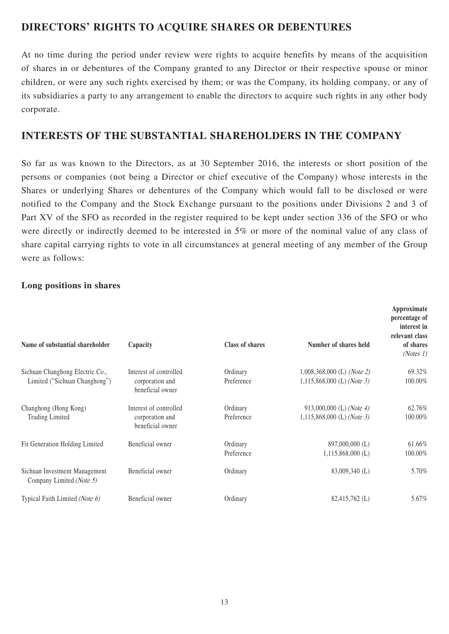## **DIRECTORS' RIGHTS TO ACQUIRE SHARES OR DEBENTURES**

At no time during the period under review were rights to acquire benefits by means of the acquisition of shares in or debentures of the Company granted to any Director or their respective spouse or minor children, or were any such rights exercised by them; or was the Company, its holding company, or any of its subsidiaries a party to any arrangement to enable the directors to acquire such rights in any other body corporate.

## **INTERESTS OF THE SUBSTANTIAL SHAREHOLDERS IN THE COMPANY**

So far as was known to the Directors, as at 30 September 2016, the interests or short position of the persons or companies (not being a Director or chief executive of the Company) whose interests in the Shares or underlying Shares or debentures of the Company which would fall to be disclosed or were notified to the Company and the Stock Exchange pursuant to the positions under Divisions 2 and 3 of Part XV of the SFO as recorded in the register required to be kept under section 336 of the SFO or who were directly or indirectly deemed to be interested in 5% or more of the nominal value of any class of share capital carrying rights to vote in all circumstances at general meeting of any member of the Group were as follows:

### **Long positions in shares**

| Name of substantial shareholder                                  | Capacity                                                      | <b>Class of shares</b> | Number of shares held                                                      | Approximate<br>percentage of<br>interest in<br>relevant class<br>of shares<br>(Notes 1) |
|------------------------------------------------------------------|---------------------------------------------------------------|------------------------|----------------------------------------------------------------------------|-----------------------------------------------------------------------------------------|
| Sichuan Changhong Electric Co.,<br>Limited ("Sichuan Changhong") | Interest of controlled<br>corporation and<br>beneficial owner | Ordinary<br>Preference | 1,008,368,000 (L) ( <i>Note 2</i> )<br>1,115,868,000 (L) ( <i>Note 3</i> ) | 69.32%<br>100.00%                                                                       |
| Changhong (Hong Kong)<br><b>Trading Limited</b>                  | Interest of controlled<br>corporation and<br>beneficial owner | Ordinary<br>Preference | 913,000,000 (L) (Note 4)<br>1,115,868,000 (L) ( <i>Note 3</i> )            | 62.76%<br>100.00%                                                                       |
| Fit Generation Holding Limited                                   | Beneficial owner                                              | Ordinary<br>Preference | 897,000,000 (L)<br>$1,115,868,000$ (L)                                     | 61.66%<br>100.00%                                                                       |
| Sichuan Investment Management<br>Company Limited (Note 5)        | Beneficial owner                                              | Ordinary               | 83,009,340 (L)                                                             | 5.70%                                                                                   |
| Typical Faith Limited (Note 6)                                   | Beneficial owner                                              | Ordinary               | 82,415,762 (L)                                                             | 5.67%                                                                                   |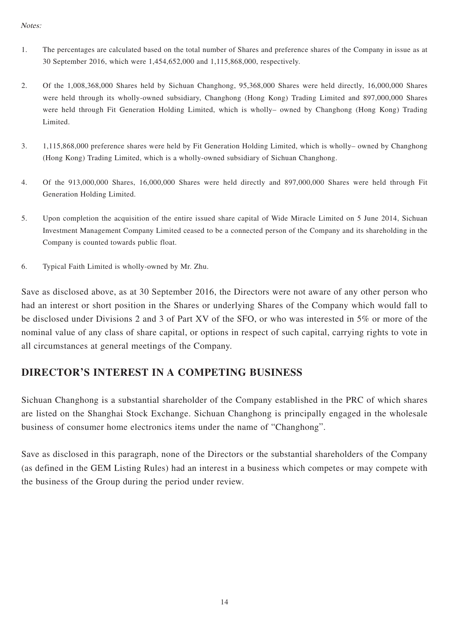#### Notes:

- 1. The percentages are calculated based on the total number of Shares and preference shares of the Company in issue as at 30 September 2016, which were 1,454,652,000 and 1,115,868,000, respectively.
- 2. Of the 1,008,368,000 Shares held by Sichuan Changhong, 95,368,000 Shares were held directly, 16,000,000 Shares were held through its wholly-owned subsidiary, Changhong (Hong Kong) Trading Limited and 897,000,000 Shares were held through Fit Generation Holding Limited, which is wholly– owned by Changhong (Hong Kong) Trading Limited.
- 3. 1,115,868,000 preference shares were held by Fit Generation Holding Limited, which is wholly– owned by Changhong (Hong Kong) Trading Limited, which is a wholly-owned subsidiary of Sichuan Changhong.
- 4. Of the 913,000,000 Shares, 16,000,000 Shares were held directly and 897,000,000 Shares were held through Fit Generation Holding Limited.
- 5. Upon completion the acquisition of the entire issued share capital of Wide Miracle Limited on 5 June 2014, Sichuan Investment Management Company Limited ceased to be a connected person of the Company and its shareholding in the Company is counted towards public float.
- 6. Typical Faith Limited is wholly-owned by Mr. Zhu.

Save as disclosed above, as at 30 September 2016, the Directors were not aware of any other person who had an interest or short position in the Shares or underlying Shares of the Company which would fall to be disclosed under Divisions 2 and 3 of Part XV of the SFO, or who was interested in 5% or more of the nominal value of any class of share capital, or options in respect of such capital, carrying rights to vote in all circumstances at general meetings of the Company.

### **DIRECTOR'S INTEREST IN A COMPETING BUSINESS**

Sichuan Changhong is a substantial shareholder of the Company established in the PRC of which shares are listed on the Shanghai Stock Exchange. Sichuan Changhong is principally engaged in the wholesale business of consumer home electronics items under the name of "Changhong".

Save as disclosed in this paragraph, none of the Directors or the substantial shareholders of the Company (as defined in the GEM Listing Rules) had an interest in a business which competes or may compete with the business of the Group during the period under review.